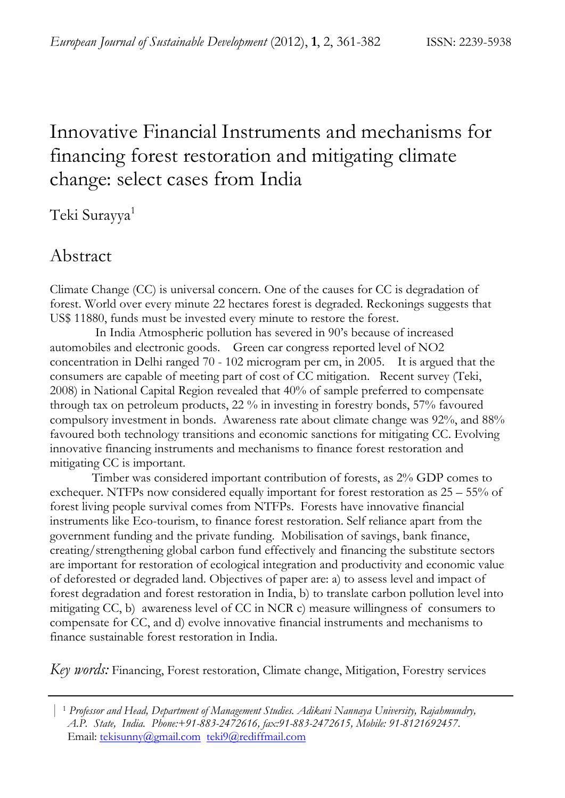# Innovative Financial Instruments and mechanisms for financing forest restoration and mitigating climate change: select cases from India

Teki Surayya1

## Abstract

Climate Change (CC) is universal concern. One of the causes for CC is degradation of forest. World over every minute 22 hectares forest is degraded. Reckonings suggests that US\$ 11880, funds must be invested every minute to restore the forest.

 In India Atmospheric pollution has severed in 90's because of increased automobiles and electronic goods. Green car congress reported level of NO2 concentration in Delhi ranged 70 - 102 microgram per cm, in 2005. It is argued that the consumers are capable of meeting part of cost of CC mitigation. Recent survey (Teki, 2008) in National Capital Region revealed that 40% of sample preferred to compensate through tax on petroleum products, 22 % in investing in forestry bonds, 57% favoured compulsory investment in bonds. Awareness rate about climate change was 92%, and 88% favoured both technology transitions and economic sanctions for mitigating CC. Evolving innovative financing instruments and mechanisms to finance forest restoration and mitigating CC is important.

Timber was considered important contribution of forests, as 2% GDP comes to exchequer. NTFPs now considered equally important for forest restoration as 25 – 55% of forest living people survival comes from NTFPs. Forests have innovative financial instruments like Eco-tourism, to finance forest restoration. Self reliance apart from the government funding and the private funding. Mobilisation of savings, bank finance, creating/strengthening global carbon fund effectively and financing the substitute sectors are important for restoration of ecological integration and productivity and economic value of deforested or degraded land. Objectives of paper are: a) to assess level and impact of forest degradation and forest restoration in India, b) to translate carbon pollution level into mitigating CC, b) awareness level of CC in NCR c) measure willingness of consumers to compensate for CC, and d) evolve innovative financial instruments and mechanisms to finance sustainable forest restoration in India.

*Key words:* Financing, Forest restoration, Climate change, Mitigation, Forestry services

 <sup>|</sup> <sup>1</sup> *Professor and Head, Department of Management Studies. Adikavi Nannaya University, Rajahmundry, A.P. State, India. Phone:+91-883-2472616, fax:91-883-2472615, Mobile: 91-8121692457*. Email: tekisunny@gmail.com teki9@rediffmail.com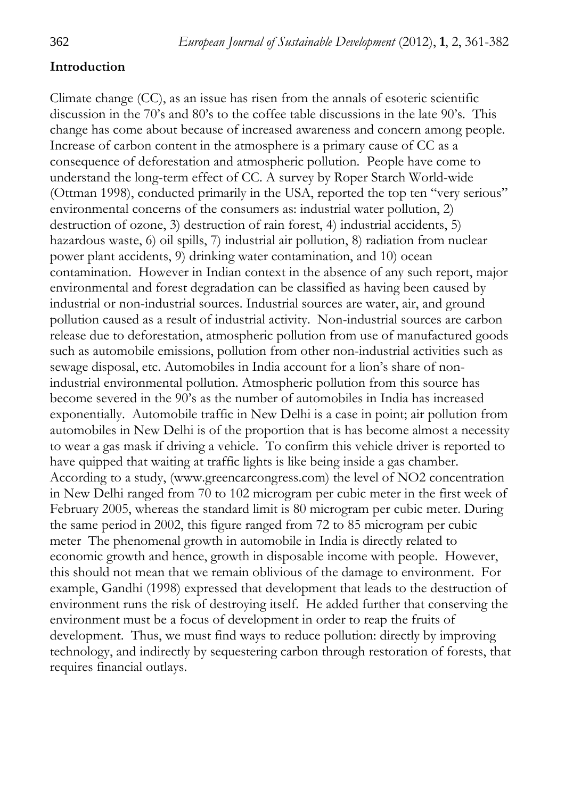#### **Introduction**

Climate change (CC), as an issue has risen from the annals of esoteric scientific discussion in the 70's and 80's to the coffee table discussions in the late 90's. This change has come about because of increased awareness and concern among people. Increase of carbon content in the atmosphere is a primary cause of CC as a consequence of deforestation and atmospheric pollution. People have come to understand the long-term effect of CC. A survey by Roper Starch World-wide (Ottman 1998), conducted primarily in the USA, reported the top ten "very serious" environmental concerns of the consumers as: industrial water pollution, 2) destruction of ozone, 3) destruction of rain forest, 4) industrial accidents, 5) hazardous waste, 6) oil spills, 7) industrial air pollution, 8) radiation from nuclear power plant accidents, 9) drinking water contamination, and 10) ocean contamination. However in Indian context in the absence of any such report, major environmental and forest degradation can be classified as having been caused by industrial or non-industrial sources. Industrial sources are water, air, and ground pollution caused as a result of industrial activity. Non-industrial sources are carbon release due to deforestation, atmospheric pollution from use of manufactured goods such as automobile emissions, pollution from other non-industrial activities such as sewage disposal, etc. Automobiles in India account for a lion's share of nonindustrial environmental pollution. Atmospheric pollution from this source has become severed in the 90's as the number of automobiles in India has increased exponentially. Automobile traffic in New Delhi is a case in point; air pollution from automobiles in New Delhi is of the proportion that is has become almost a necessity to wear a gas mask if driving a vehicle. To confirm this vehicle driver is reported to have quipped that waiting at traffic lights is like being inside a gas chamber. According to a study, (www.greencarcongress.com) the level of NO2 concentration in New Delhi ranged from 70 to 102 microgram per cubic meter in the first week of February 2005, whereas the standard limit is 80 microgram per cubic meter. During the same period in 2002, this figure ranged from 72 to 85 microgram per cubic meter The phenomenal growth in automobile in India is directly related to economic growth and hence, growth in disposable income with people. However, this should not mean that we remain oblivious of the damage to environment. For example, Gandhi (1998) expressed that development that leads to the destruction of environment runs the risk of destroying itself. He added further that conserving the environment must be a focus of development in order to reap the fruits of development. Thus, we must find ways to reduce pollution: directly by improving technology, and indirectly by sequestering carbon through restoration of forests, that requires financial outlays.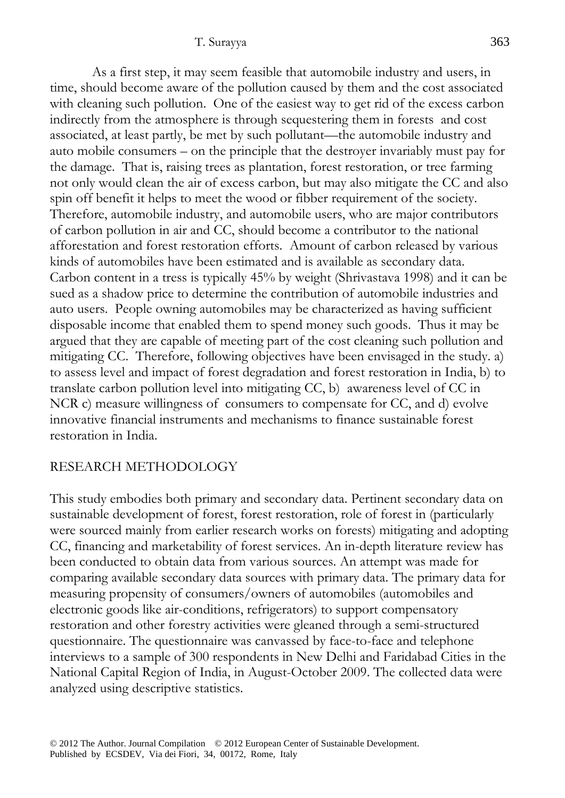As a first step, it may seem feasible that automobile industry and users, in time, should become aware of the pollution caused by them and the cost associated with cleaning such pollution. One of the easiest way to get rid of the excess carbon indirectly from the atmosphere is through sequestering them in forests and cost associated, at least partly, be met by such pollutant—the automobile industry and auto mobile consumers – on the principle that the destroyer invariably must pay for the damage. That is, raising trees as plantation, forest restoration, or tree farming not only would clean the air of excess carbon, but may also mitigate the CC and also spin off benefit it helps to meet the wood or fibber requirement of the society. Therefore, automobile industry, and automobile users, who are major contributors of carbon pollution in air and CC, should become a contributor to the national afforestation and forest restoration efforts. Amount of carbon released by various kinds of automobiles have been estimated and is available as secondary data. Carbon content in a tress is typically 45% by weight (Shrivastava 1998) and it can be sued as a shadow price to determine the contribution of automobile industries and auto users. People owning automobiles may be characterized as having sufficient disposable income that enabled them to spend money such goods. Thus it may be argued that they are capable of meeting part of the cost cleaning such pollution and mitigating CC. Therefore, following objectives have been envisaged in the study. a) to assess level and impact of forest degradation and forest restoration in India, b) to translate carbon pollution level into mitigating CC, b) awareness level of CC in NCR c) measure willingness of consumers to compensate for CC, and d) evolve innovative financial instruments and mechanisms to finance sustainable forest restoration in India.

## RESEARCH METHODOLOGY

This study embodies both primary and secondary data. Pertinent secondary data on sustainable development of forest, forest restoration, role of forest in (particularly were sourced mainly from earlier research works on forests) mitigating and adopting CC, financing and marketability of forest services. An in-depth literature review has been conducted to obtain data from various sources. An attempt was made for comparing available secondary data sources with primary data. The primary data for measuring propensity of consumers/owners of automobiles (automobiles and electronic goods like air-conditions, refrigerators) to support compensatory restoration and other forestry activities were gleaned through a semi-structured questionnaire. The questionnaire was canvassed by face-to-face and telephone interviews to a sample of 300 respondents in New Delhi and Faridabad Cities in the National Capital Region of India, in August-October 2009. The collected data were analyzed using descriptive statistics.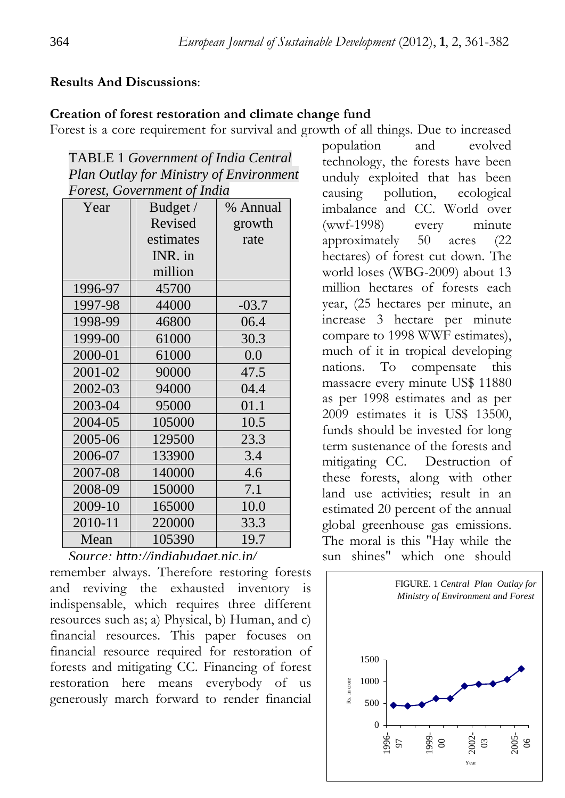#### **Results And Discussions**:

#### **Creation of forest restoration and climate change fund**

Forest is a core requirement for survival and growth of all things. Due to increased

| <b>TABLE 1 Government of India Central</b>     |
|------------------------------------------------|
| <b>Plan Outlay for Ministry of Environment</b> |
| Forest, Government of India                    |

| Year    | Budget /  | % Annual |
|---------|-----------|----------|
|         | Revised   | growth   |
|         | estimates | rate     |
|         | INR. in   |          |
|         | million   |          |
| 1996-97 | 45700     |          |
| 1997-98 | 44000     | $-03.7$  |
| 1998-99 | 46800     | 06.4     |
| 1999-00 | 61000     | 30.3     |
| 2000-01 | 61000     | 0.0      |
| 2001-02 | 90000     | 47.5     |
| 2002-03 | 94000     | 04.4     |
| 2003-04 | 95000     | 01.1     |
| 2004-05 | 105000    | 10.5     |
| 2005-06 | 129500    | 23.3     |
| 2006-07 | 133900    | 3.4      |
| 2007-08 | 140000    | 4.6      |
| 2008-09 | 150000    | 7.1      |
| 2009-10 | 165000    | 10.0     |
| 2010-11 | 220000    | 33.3     |
| Mean    | 105390    | 19.7     |

remember always. Therefore restoring forests *Source: http://indiabudget.nic.in/*

and reviving the exhausted inventory is indispensable, which requires three different resources such as; a) Physical, b) Human, and c) financial resources. This paper focuses on financial resource required for restoration of forests and mitigating CC. Financing of forest restoration here means everybody of us generously march forward to render financial population and evolved technology, the forests have been unduly exploited that has been causing pollution, ecological imbalance and CC. World over (wwf-1998) every minute approximately 50 acres (22 hectares) of forest cut down. The world loses (WBG-2009) about 13 million hectares of forests each year, (25 hectares per minute, an increase 3 hectare per minute compare to 1998 WWF estimates), much of it in tropical developing nations. To compensate this massacre every minute US\$ 11880 as per 1998 estimates and as per 2009 estimates it is US\$ 13500, funds should be invested for long term sustenance of the forests and mitigating CC. Destruction of these forests, along with other land use activities; result in an estimated 20 percent of the annual global greenhouse gas emissions. The moral is this "Hay while the sun shines" which one should

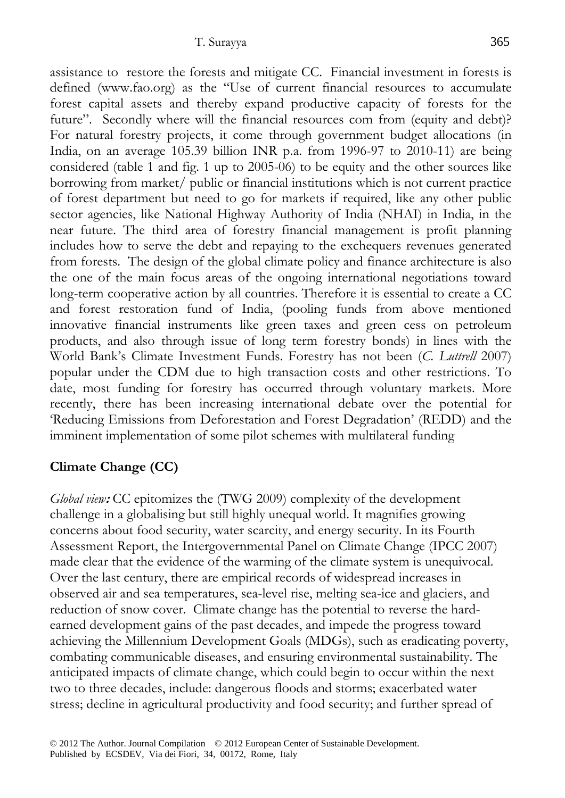assistance to restore the forests and mitigate CC. Financial investment in forests is defined (www.fao.org) as the "Use of current financial resources to accumulate forest capital assets and thereby expand productive capacity of forests for the future". Secondly where will the financial resources com from (equity and debt)? For natural forestry projects, it come through government budget allocations (in India, on an average 105.39 billion INR p.a. from 1996-97 to 2010-11) are being considered (table 1 and fig. 1 up to 2005-06) to be equity and the other sources like borrowing from market/ public or financial institutions which is not current practice of forest department but need to go for markets if required, like any other public sector agencies, like National Highway Authority of India (NHAI) in India, in the near future. The third area of forestry financial management is profit planning includes how to serve the debt and repaying to the exchequers revenues generated from forests. The design of the global climate policy and finance architecture is also the one of the main focus areas of the ongoing international negotiations toward long-term cooperative action by all countries. Therefore it is essential to create a CC and forest restoration fund of India, (pooling funds from above mentioned innovative financial instruments like green taxes and green cess on petroleum products, and also through issue of long term forestry bonds) in lines with the World Bank's Climate Investment Funds. Forestry has not been (*C. Luttrell* 2007) popular under the CDM due to high transaction costs and other restrictions. To date, most funding for forestry has occurred through voluntary markets. More recently, there has been increasing international debate over the potential for 'Reducing Emissions from Deforestation and Forest Degradation' (REDD) and the imminent implementation of some pilot schemes with multilateral funding

## **Climate Change (CC)**

*Global view*: CC epitomizes the (TWG 2009) complexity of the development challenge in a globalising but still highly unequal world. It magnifies growing concerns about food security, water scarcity, and energy security. In its Fourth Assessment Report, the Intergovernmental Panel on Climate Change (IPCC 2007) made clear that the evidence of the warming of the climate system is unequivocal. Over the last century, there are empirical records of widespread increases in observed air and sea temperatures, sea-level rise, melting sea-ice and glaciers, and reduction of snow cover. Climate change has the potential to reverse the hardearned development gains of the past decades, and impede the progress toward achieving the Millennium Development Goals (MDGs), such as eradicating poverty, combating communicable diseases, and ensuring environmental sustainability. The anticipated impacts of climate change, which could begin to occur within the next two to three decades, include: dangerous floods and storms; exacerbated water stress; decline in agricultural productivity and food security; and further spread of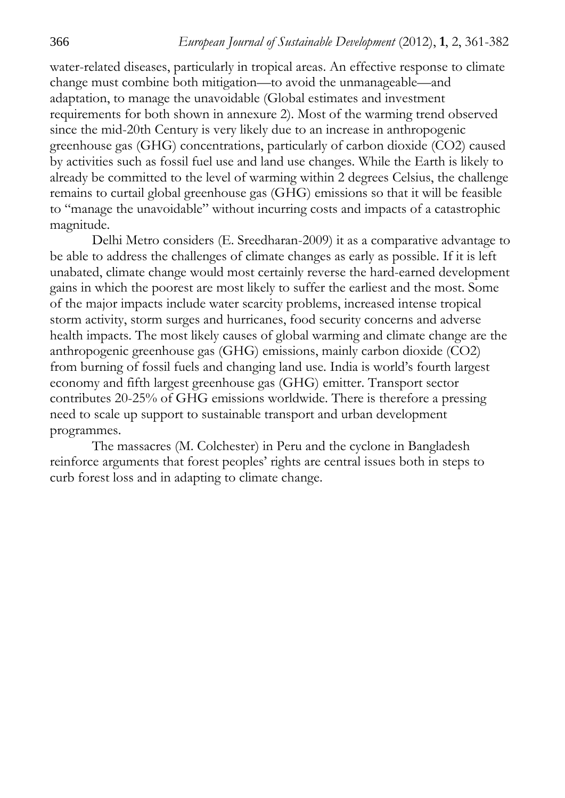water-related diseases, particularly in tropical areas. An effective response to climate change must combine both mitigation—to avoid the unmanageable—and adaptation, to manage the unavoidable (Global estimates and investment requirements for both shown in annexure 2). Most of the warming trend observed since the mid-20th Century is very likely due to an increase in anthropogenic greenhouse gas (GHG) concentrations, particularly of carbon dioxide (CO2) caused by activities such as fossil fuel use and land use changes. While the Earth is likely to already be committed to the level of warming within 2 degrees Celsius, the challenge remains to curtail global greenhouse gas (GHG) emissions so that it will be feasible to "manage the unavoidable" without incurring costs and impacts of a catastrophic magnitude.

Delhi Metro considers (E. Sreedharan-2009) it as a comparative advantage to be able to address the challenges of climate changes as early as possible. If it is left unabated, climate change would most certainly reverse the hard-earned development gains in which the poorest are most likely to suffer the earliest and the most. Some of the major impacts include water scarcity problems, increased intense tropical storm activity, storm surges and hurricanes, food security concerns and adverse health impacts. The most likely causes of global warming and climate change are the anthropogenic greenhouse gas (GHG) emissions, mainly carbon dioxide (CO2) from burning of fossil fuels and changing land use. India is world's fourth largest economy and fifth largest greenhouse gas (GHG) emitter. Transport sector contributes 20-25% of GHG emissions worldwide. There is therefore a pressing need to scale up support to sustainable transport and urban development programmes.

The massacres (M. Colchester) in Peru and the cyclone in Bangladesh reinforce arguments that forest peoples' rights are central issues both in steps to curb forest loss and in adapting to climate change.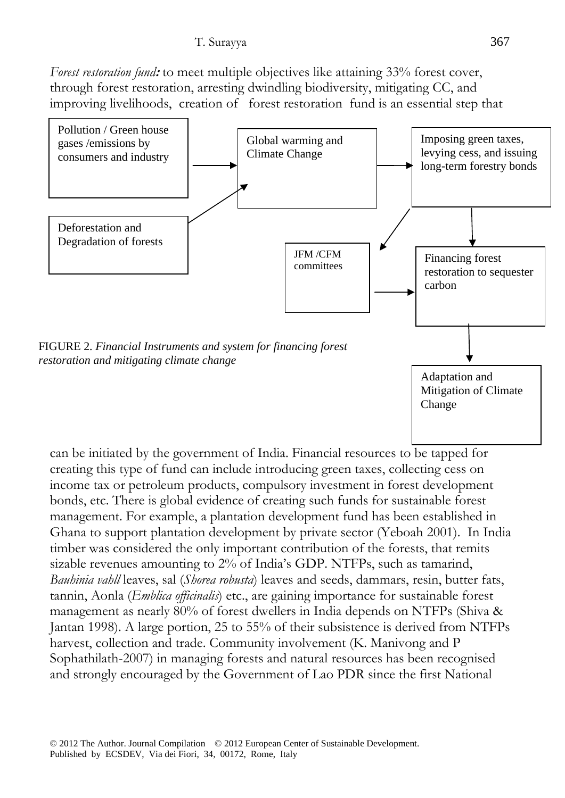*Forest restoration fund***:** to meet multiple objectives like attaining 33% forest cover, through forest restoration, arresting dwindling biodiversity, mitigating CC, and improving livelihoods, creation of forest restoration fund is an essential step that



can be initiated by the government of India. Financial resources to be tapped for creating this type of fund can include introducing green taxes, collecting cess on income tax or petroleum products, compulsory investment in forest development bonds, etc. There is global evidence of creating such funds for sustainable forest management. For example, a plantation development fund has been established in Ghana to support plantation development by private sector (Yeboah 2001). In India timber was considered the only important contribution of the forests, that remits sizable revenues amounting to 2% of India's GDP. NTFPs, such as tamarind, *Bauhinia vahll* leaves, sal (*Shorea robusta*) leaves and seeds, dammars, resin, butter fats, tannin, Aonla (*Emblica officinalis*) etc., are gaining importance for sustainable forest management as nearly 80% of forest dwellers in India depends on NTFPs (Shiva & Jantan 1998). A large portion, 25 to 55% of their subsistence is derived from NTFPs harvest, collection and trade. Community involvement (K. Manivong and P Sophathilath-2007) in managing forests and natural resources has been recognised and strongly encouraged by the Government of Lao PDR since the first National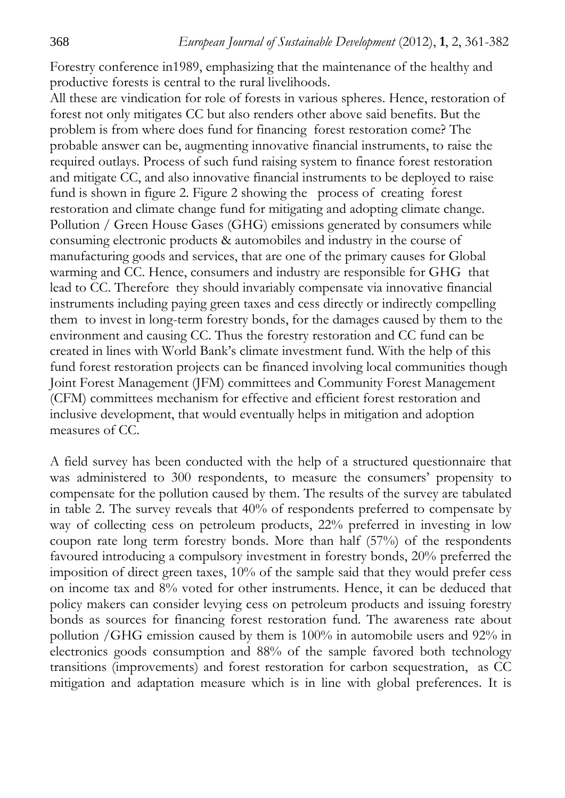Forestry conference in1989, emphasizing that the maintenance of the healthy and productive forests is central to the rural livelihoods.

All these are vindication for role of forests in various spheres. Hence, restoration of forest not only mitigates CC but also renders other above said benefits. But the problem is from where does fund for financing forest restoration come? The probable answer can be, augmenting innovative financial instruments, to raise the required outlays. Process of such fund raising system to finance forest restoration and mitigate CC, and also innovative financial instruments to be deployed to raise fund is shown in figure 2. Figure 2 showing the process of creating forest restoration and climate change fund for mitigating and adopting climate change. Pollution / Green House Gases (GHG) emissions generated by consumers while consuming electronic products & automobiles and industry in the course of manufacturing goods and services, that are one of the primary causes for Global warming and CC. Hence, consumers and industry are responsible for GHG that lead to CC. Therefore they should invariably compensate via innovative financial instruments including paying green taxes and cess directly or indirectly compelling them to invest in long-term forestry bonds, for the damages caused by them to the environment and causing CC. Thus the forestry restoration and CC fund can be created in lines with World Bank's climate investment fund. With the help of this fund forest restoration projects can be financed involving local communities though Joint Forest Management (JFM) committees and Community Forest Management (CFM) committees mechanism for effective and efficient forest restoration and inclusive development, that would eventually helps in mitigation and adoption measures of CC.

A field survey has been conducted with the help of a structured questionnaire that was administered to 300 respondents, to measure the consumers' propensity to compensate for the pollution caused by them. The results of the survey are tabulated in table 2. The survey reveals that 40% of respondents preferred to compensate by way of collecting cess on petroleum products, 22% preferred in investing in low coupon rate long term forestry bonds. More than half (57%) of the respondents favoured introducing a compulsory investment in forestry bonds, 20% preferred the imposition of direct green taxes, 10% of the sample said that they would prefer cess on income tax and 8% voted for other instruments. Hence, it can be deduced that policy makers can consider levying cess on petroleum products and issuing forestry bonds as sources for financing forest restoration fund. The awareness rate about pollution /GHG emission caused by them is 100% in automobile users and 92% in electronics goods consumption and 88% of the sample favored both technology transitions (improvements) and forest restoration for carbon sequestration, as CC mitigation and adaptation measure which is in line with global preferences. It is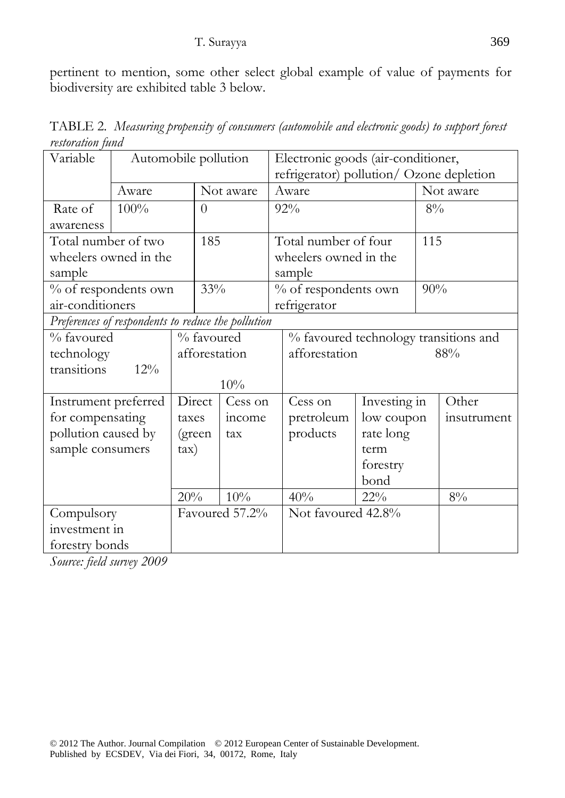pertinent to mention, some other select global example of value of payments for biodiversity are exhibited table 3 below.

TABLE 2*. Measuring propensity of consumers (automobile and electronic goods) to support forest restoration fund* 

| Variable                                           | Automobile pollution |               | Electronic goods (air-conditioner,       |                |               |                                       |              |       |             |  |
|----------------------------------------------------|----------------------|---------------|------------------------------------------|----------------|---------------|---------------------------------------|--------------|-------|-------------|--|
|                                                    |                      |               | refrigerator) pollution/ Ozone depletion |                |               |                                       |              |       |             |  |
|                                                    | Aware                |               | Not aware                                |                |               | Aware                                 |              |       | Not aware   |  |
| Rate of                                            | 100%                 |               | $\theta$                                 |                |               | 92%                                   |              | $8\%$ |             |  |
| awareness                                          |                      |               |                                          |                |               |                                       |              |       |             |  |
| Total number of two                                |                      |               | 185                                      |                |               | Total number of four                  |              | 115   |             |  |
| wheelers owned in the                              |                      |               |                                          |                |               | wheelers owned in the                 |              |       |             |  |
| sample                                             |                      |               |                                          |                |               | sample                                |              |       |             |  |
| % of respondents own                               |                      |               | 33%                                      |                |               | % of respondents own                  |              | 90%   |             |  |
| air-conditioners                                   |                      |               |                                          |                |               | refrigerator                          |              |       |             |  |
| Preferences of respondents to reduce the pollution |                      |               |                                          |                |               |                                       |              |       |             |  |
| % favoured                                         |                      |               | % favoured                               |                |               | % favoured technology transitions and |              |       |             |  |
| technology                                         |                      | afforestation |                                          |                | afforestation | 88%                                   |              |       |             |  |
| transitions                                        | $12\%$               |               |                                          |                |               |                                       |              |       |             |  |
|                                                    |                      |               |                                          | 10%            |               |                                       |              |       |             |  |
| Instrument preferred                               |                      |               | Direct                                   | Cess on        |               | Cess on                               | Investing in |       | Other       |  |
| for compensating                                   |                      | taxes         |                                          | income         |               | pretroleum                            | low coupon   |       | insutrument |  |
| pollution caused by                                |                      |               | (green                                   | tax            |               | products                              | rate long    |       |             |  |
| sample consumers                                   |                      | $\tan$        |                                          |                |               |                                       | term         |       |             |  |
|                                                    |                      |               |                                          |                |               |                                       | forestry     |       |             |  |
|                                                    |                      |               |                                          |                |               |                                       | bond         |       |             |  |
|                                                    |                      | 20%           |                                          | 10%            |               | 40%                                   | $22\%$       |       | $8\%$       |  |
| Compulsory                                         |                      |               |                                          | Favoured 57.2% |               | Not favoured 42.8%                    |              |       |             |  |
| investment in                                      |                      |               |                                          |                |               |                                       |              |       |             |  |
| forestry bonds                                     |                      |               |                                          |                |               |                                       |              |       |             |  |

*Source: field survey 2009*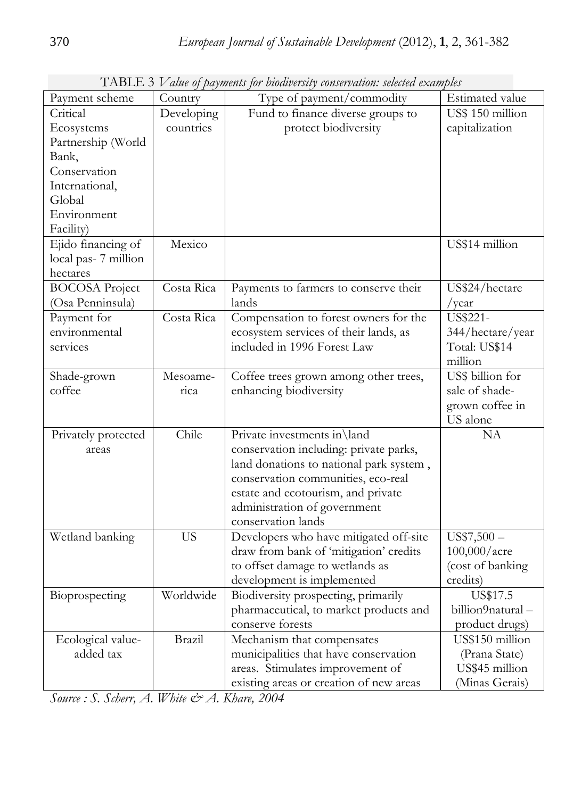| Payment scheme        | Country       | Type of payment/commodity               | Estimated value   |
|-----------------------|---------------|-----------------------------------------|-------------------|
| Critical              | Developing    | Fund to finance diverse groups to       | US\$ 150 million  |
| Ecosystems            | countries     | protect biodiversity                    | capitalization    |
| Partnership (World    |               |                                         |                   |
| Bank,                 |               |                                         |                   |
| Conservation          |               |                                         |                   |
| International,        |               |                                         |                   |
| Global                |               |                                         |                   |
| Environment           |               |                                         |                   |
| Facility)             |               |                                         |                   |
| Ejido financing of    | Mexico        |                                         | US\$14 million    |
| local pas-7 million   |               |                                         |                   |
| hectares              |               |                                         |                   |
| <b>BOCOSA Project</b> | Costa Rica    | Payments to farmers to conserve their   | US\$24/hectare    |
| (Osa Penninsula)      |               | lands                                   | /year             |
| Payment for           | Costa Rica    | Compensation to forest owners for the   | US\$221-          |
| environmental         |               | ecosystem services of their lands, as   | 344/hectare/year  |
| services              |               | included in 1996 Forest Law             | Total: US\$14     |
|                       |               |                                         | million           |
| Shade-grown           | Mesoame-      | Coffee trees grown among other trees,   | US\$ billion for  |
| coffee                | rica          | enhancing biodiversity                  | sale of shade-    |
|                       |               |                                         | grown coffee in   |
|                       |               |                                         | US alone          |
| Privately protected   | Chile         | Private investments in\land             | <b>NA</b>         |
| areas                 |               | conservation including: private parks,  |                   |
|                       |               | land donations to national park system, |                   |
|                       |               | conservation communities, eco-real      |                   |
|                       |               | estate and ecotourism, and private      |                   |
|                       |               | administration of government            |                   |
|                       |               | conservation lands                      |                   |
| Wetland banking       | <b>US</b>     | Developers who have mitigated off-site  | $US$7,500-$       |
|                       |               | draw from bank of 'mitigation' credits  | $100,000/a$ cre   |
|                       |               | to offset damage to wetlands as         | (cost of banking  |
|                       |               | development is implemented              | credits)          |
| Bioprospecting        | Worldwide     | Biodiversity prospecting, primarily     | US\$17.5          |
|                       |               | pharmaceutical, to market products and  | billion9natural - |
|                       |               | conserve forests                        | product drugs)    |
| Ecological value-     | <b>Brazil</b> | Mechanism that compensates              | US\$150 million   |
| added tax             |               | municipalities that have conservation   | (Prana State)     |
|                       |               | areas. Stimulates improvement of        | US\$45 million    |
|                       |               | existing areas or creation of new areas | (Minas Gerais)    |

TABLE 3 *Value of payments for biodiversity conservation: selected examples*

*Source : S. Scherr, A. White & A. Khare, 2004*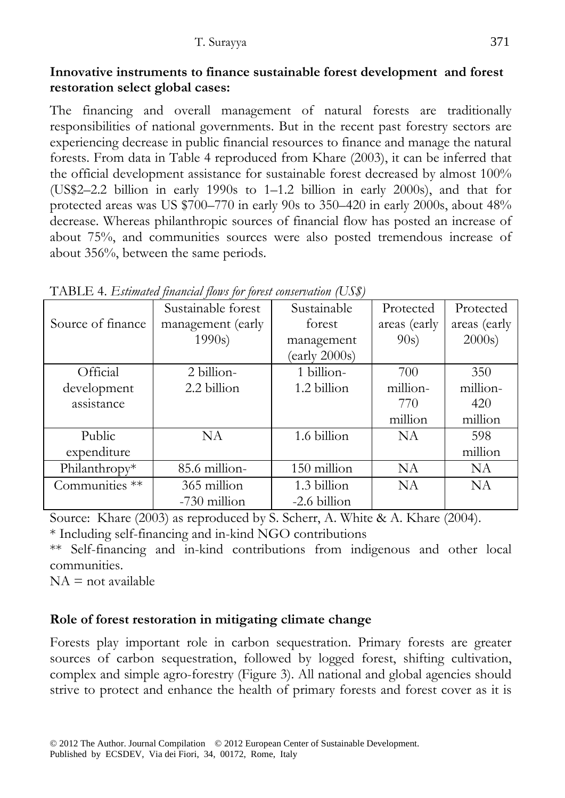#### **Innovative instruments to finance sustainable forest development and forest restoration select global cases:**

The financing and overall management of natural forests are traditionally responsibilities of national governments. But in the recent past forestry sectors are experiencing decrease in public financial resources to finance and manage the natural forests. From data in Table 4 reproduced from Khare (2003), it can be inferred that the official development assistance for sustainable forest decreased by almost 100% (US\$2–2.2 billion in early 1990s to 1–1.2 billion in early 2000s), and that for protected areas was US \$700–770 in early 90s to 350–420 in early 2000s, about 48% decrease. Whereas philanthropic sources of financial flow has posted an increase of about 75%, and communities sources were also posted tremendous increase of about 356%, between the same periods.

|                   | Sustainable forest | Sustainable                    | Protected    | Protected    |
|-------------------|--------------------|--------------------------------|--------------|--------------|
| Source of finance | management (early  | forest                         | areas (early | areas (early |
|                   | 1990s              | management                     | 90s)         | $2000s$ )    |
|                   |                    | $\text{(early } 2000\text{s)}$ |              |              |
| Official          | 2 billion-         | 1 billion-                     | 700          | 350          |
| development       | 2.2 billion        | 1.2 billion                    | million-     | million-     |
| assistance        |                    |                                | 770          | 420          |
|                   |                    |                                | million      | million      |
| Public            | <b>NA</b>          | 1.6 billion                    | <b>NA</b>    | 598          |
| expenditure       |                    |                                |              | million      |
| Philanthropy*     | 85.6 million-      | 150 million                    | <b>NA</b>    | <b>NA</b>    |
| Communities **    | 365 million        | 1.3 billion                    | <b>NA</b>    | <b>NA</b>    |
|                   | -730 million       | -2.6 billion                   |              |              |

TABLE 4. *Estimated financial flows for forest conservation (US\$)*

Source: Khare (2003) as reproduced by S. Scherr, A. White & A. Khare (2004). \* Including self-financing and in-kind NGO contributions

\*\* Self-financing and in-kind contributions from indigenous and other local communities.

 $NA = not available$ 

## **Role of forest restoration in mitigating climate change**

Forests play important role in carbon sequestration. Primary forests are greater sources of carbon sequestration, followed by logged forest, shifting cultivation, complex and simple agro-forestry (Figure 3). All national and global agencies should strive to protect and enhance the health of primary forests and forest cover as it is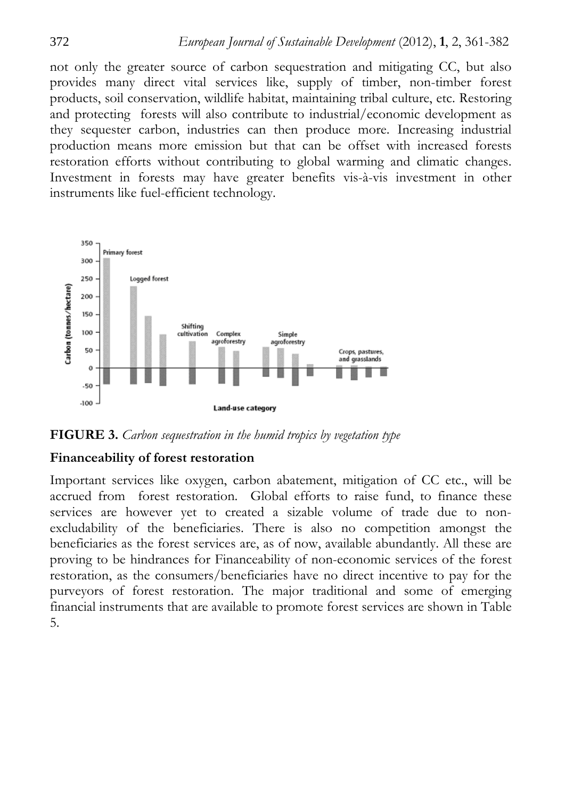not only the greater source of carbon sequestration and mitigating CC, but also provides many direct vital services like, supply of timber, non-timber forest products, soil conservation, wildlife habitat, maintaining tribal culture, etc. Restoring and protecting forests will also contribute to industrial/economic development as they sequester carbon, industries can then produce more. Increasing industrial production means more emission but that can be offset with increased forests restoration efforts without contributing to global warming and climatic changes. Investment in forests may have greater benefits vis-à-vis investment in other instruments like fuel-efficient technology.



**FIGURE 3.** *Carbon sequestration in the humid tropics by vegetation type* 

#### **Financeability of forest restoration**

Important services like oxygen, carbon abatement, mitigation of CC etc., will be accrued from forest restoration. Global efforts to raise fund, to finance these services are however yet to created a sizable volume of trade due to nonexcludability of the beneficiaries. There is also no competition amongst the beneficiaries as the forest services are, as of now, available abundantly. All these are proving to be hindrances for Financeability of non-economic services of the forest restoration, as the consumers/beneficiaries have no direct incentive to pay for the purveyors of forest restoration. The major traditional and some of emerging financial instruments that are available to promote forest services are shown in Table 5.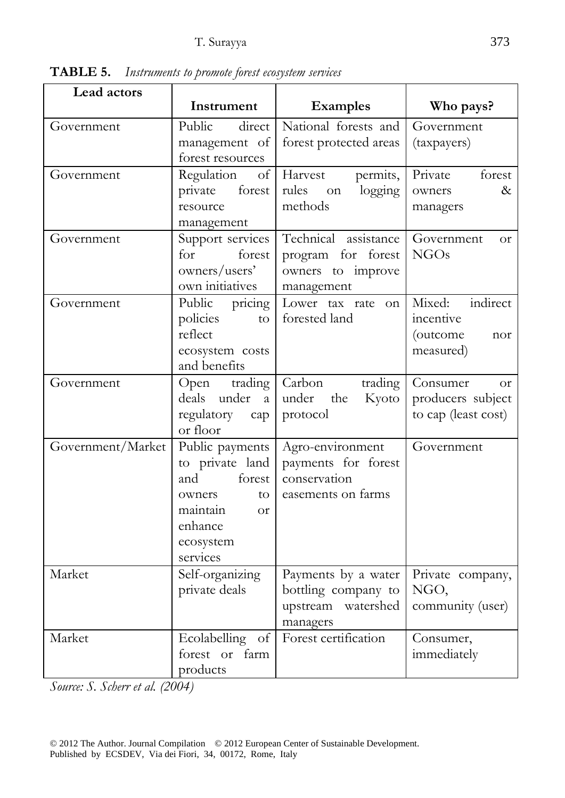| Lead actors       | Instrument                                                                                                                       | <b>Examples</b>                                                                 | Who pays?                                                         |
|-------------------|----------------------------------------------------------------------------------------------------------------------------------|---------------------------------------------------------------------------------|-------------------------------------------------------------------|
| Government        | Public<br>direct<br>management of<br>forest resources                                                                            | National forests and<br>forest protected areas                                  | Government<br>(taxpayers)                                         |
| Government        | Regulation<br>forest<br>private<br>resource<br>management                                                                        | of   Harvest<br>permits,<br>rules<br>logging<br>on<br>methods                   | Private<br>forest<br>$\&$<br>owners<br>managers                   |
| Government        | Support services<br>forest<br>for<br>owners/users'<br>own initiatives                                                            | Technical assistance<br>program for forest<br>owners to improve<br>management   | Government<br><b>Or</b><br><b>NGOs</b>                            |
| Government        | Public pricing<br>policies<br>to<br>reflect<br>ecosystem costs<br>and benefits                                                   | Lower tax rate<br>on<br>forested land                                           | Mixed:<br>indirect<br>incentive<br>(outcome<br>nor<br>measured)   |
| Government        | Open trading<br>deals under<br>a<br>regulatory<br>cap<br>or floor                                                                | Carbon<br>trading<br>under<br>Kyoto<br>the<br>protocol                          | Consumer<br><b>or</b><br>producers subject<br>to cap (least cost) |
| Government/Market | Public payments<br>to private land<br>forest<br>and<br>to<br>owners<br>maintain<br><b>or</b><br>enhance<br>ecosystem<br>services | Agro-environment<br>payments for forest<br>conservation<br>easements on farms   | Government                                                        |
| Market            | Self-organizing<br>private deals                                                                                                 | Payments by a water<br>bottling company to<br>watershed<br>upstream<br>managers | Private company,<br>NGO,<br>community (user)                      |
| Market            | Ecolabelling of<br>forest or farm<br>products                                                                                    | Forest certification                                                            | Consumer,<br>immediately                                          |

**TABLE 5.** *Instruments to promote forest ecosystem services* 

*Source: S. Scherr et al. (2004)*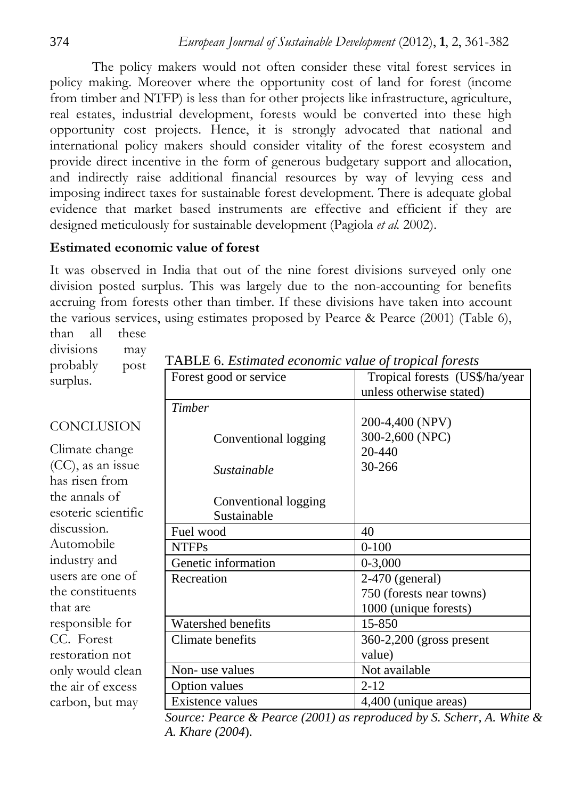The policy makers would not often consider these vital forest services in policy making. Moreover where the opportunity cost of land for forest (income from timber and NTFP) is less than for other projects like infrastructure, agriculture, real estates, industrial development, forests would be converted into these high opportunity cost projects. Hence, it is strongly advocated that national and international policy makers should consider vitality of the forest ecosystem and provide direct incentive in the form of generous budgetary support and allocation, and indirectly raise additional financial resources by way of levying cess and imposing indirect taxes for sustainable forest development. There is adequate global evidence that market based instruments are effective and efficient if they are designed meticulously for sustainable development (Pagiola *et al.* 2002).

### **Estimated economic value of forest**

It was observed in India that out of the nine forest divisions surveyed only one division posted surplus. This was largely due to the non-accounting for benefits accruing from forests other than timber. If these divisions have taken into account the various services, using estimates proposed by Pearce & Pearce (2001) (Table 6), than all these

divisions may probably post surplus.

**CONCLUSION** 

Climate change (CC), as an issue has risen from the annals of

esoteric scientific

discussion. Automobile industry and users are one of the constituents

that are

responsible for CC. Forest

restoration not only would clean the air of excess carbon, but may

| Forest good or service    | Tropical forests (US\$/ha/year<br>unless otherwise stated) |
|---------------------------|------------------------------------------------------------|
| Timber                    |                                                            |
|                           | 200-4,400 (NPV)                                            |
| Conventional logging      | 300-2,600 (NPC)                                            |
|                           | 20-440                                                     |
| Sustainable               | 30-266                                                     |
|                           |                                                            |
| Conventional logging      |                                                            |
| Sustainable               |                                                            |
| Fuel wood                 | 40                                                         |
| <b>NTFPs</b>              | $0 - 100$                                                  |
| Genetic information       | $0 - 3,000$                                                |
| Recreation                | $2-470$ (general)                                          |
|                           | 750 (forests near towns)                                   |
|                           | 1000 (unique forests)                                      |
| <b>Watershed benefits</b> | 15-850                                                     |
| Climate benefits          | 360-2,200 (gross present                                   |
|                           | value)                                                     |
| Non-use values            | Not available                                              |
| <b>Option values</b>      | $2 - 12$                                                   |
| Existence values          | 4,400 (unique areas)                                       |

TABLE 6. *Estimated economic value of tropical forests* 

*Source: Pearce & Pearce (2001) as reproduced by S. Scherr, A. White & A. Khare (2004*).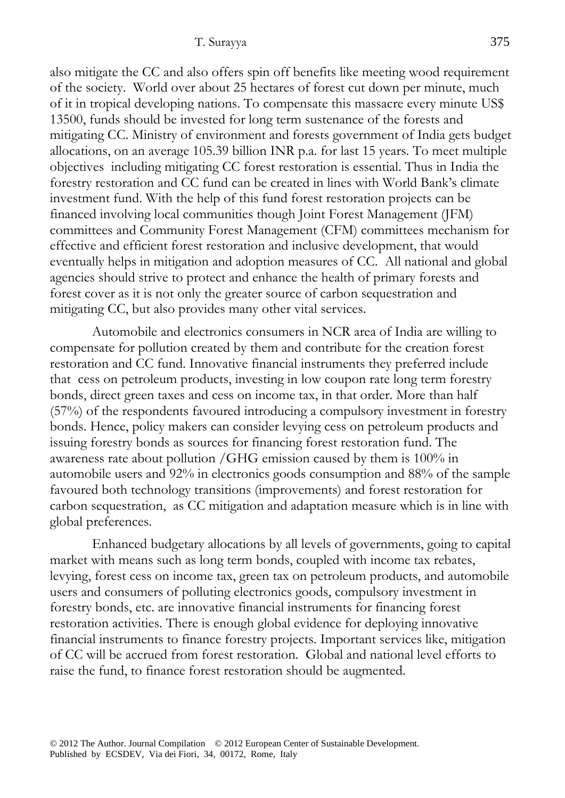also mitigate the CC and also offers spin off benefits like meeting wood requirement of the society. World over about 25 hectares of forest cut down per minute, much of it in tropical developing nations. To compensate this massacre every minute US\$ 13500, funds should be invested for long term sustenance of the forests and mitigating CC. Ministry of environment and forests government of India gets budget allocations, on an average 105.39 billion INR p.a. for last 15 years. To meet multiple objectives including mitigating CC forest restoration is essential. Thus in India the forestry restoration and CC fund can be created in lines with World Bank's climate investment fund. With the help of this fund forest restoration projects can be financed involving local communities though Joint Forest Management (JFM) committees and Community Forest Management (CFM) committees mechanism for effective and efficient forest restoration and inclusive development, that would eventually helps in mitigation and adoption measures of CC. All national and global agencies should strive to protect and enhance the health of primary forests and forest cover as it is not only the greater source of carbon sequestration and mitigating CC, but also provides many other vital services.

Automobile and electronics consumers in NCR area of India are willing to compensate for pollution created by them and contribute for the creation forest restoration and CC fund. Innovative financial instruments they preferred include that cess on petroleum products, investing in low coupon rate long term forestry bonds, direct green taxes and cess on income tax, in that order. More than half (57%) of the respondents favoured introducing a compulsory investment in forestry bonds. Hence, policy makers can consider levying cess on petroleum products and issuing forestry bonds as sources for financing forest restoration fund. The awareness rate about pollution /GHG emission caused by them is 100% in automobile users and 92% in electronics goods consumption and 88% of the sample favoured both technology transitions (improvements) and forest restoration for carbon sequestration, as CC mitigation and adaptation measure which is in line with global preferences.

Enhanced budgetary allocations by all levels of governments, going to capital market with means such as long term bonds, coupled with income tax rebates, levying, forest cess on income tax, green tax on petroleum products, and automobile users and consumers of polluting electronics goods, compulsory investment in forestry bonds, etc. are innovative financial instruments for financing forest restoration activities. There is enough global evidence for deploying innovative financial instruments to finance forestry projects. Important services like, mitigation of CC will be accrued from forest restoration. Global and national level efforts to raise the fund, to finance forest restoration should be augmented.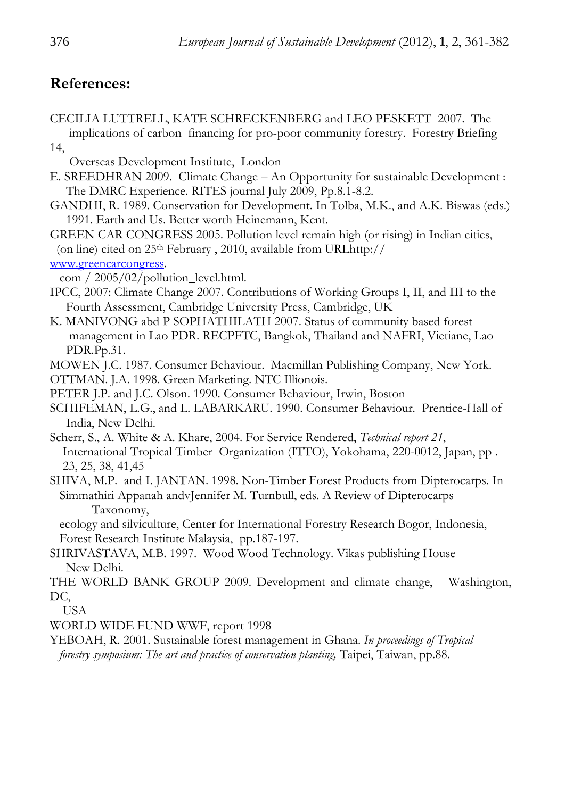## **References:**

- CECILIA LUTTRELL, KATE SCHRECKENBERG and LEO PESKETT 2007. The implications of carbon financing for pro-poor community forestry. Forestry Briefing 14,
	- Overseas Development Institute, London
- E. SREEDHRAN 2009. Climate Change An Opportunity for sustainable Development : The DMRC Experience. RITES journal July 2009, Pp.8.1-8.2.
- GANDHI, R. 1989. Conservation for Development. In Tolba, M.K., and A.K. Biswas (eds.) 1991. Earth and Us. Better worth Heinemann, Kent.
- GREEN CAR CONGRESS 2005. Pollution level remain high (or rising) in Indian cities, (on line) cited on 25th February , 2010, available from URLhttp://
- www.greencarcongress.
	- com / 2005/02/pollution\_level.html.
- IPCC, 2007: Climate Change 2007. Contributions of Working Groups I, II, and III to the Fourth Assessment, Cambridge University Press, Cambridge, UK
- K. MANIVONG abd P SOPHATHILATH 2007. Status of community based forest management in Lao PDR. RECPFTC, Bangkok, Thailand and NAFRI, Vietiane, Lao PDR.Pp.31.
- MOWEN J.C. 1987. Consumer Behaviour. Macmillan Publishing Company, New York.
- OTTMAN. J.A. 1998. Green Marketing. NTC Illionois.
- PETER J.P. and J.C. Olson. 1990. Consumer Behaviour, Irwin, Boston
- SCHIFEMAN, L.G., and L. LABARKARU. 1990. Consumer Behaviour. Prentice-Hall of India, New Delhi.
- Scherr, S., A. White & A. Khare, 2004. For Service Rendered, *Technical report 21*, International Tropical Timber Organization (ITTO), Yokohama, 220-0012, Japan, pp . 23, 25, 38, 41,45
- SHIVA, M.P. and I. JANTAN. 1998. Non-Timber Forest Products from Dipterocarps. In Simmathiri Appanah andvJennifer M. Turnbull, eds. A Review of Dipterocarps Taxonomy,

 ecology and silviculture, Center for International Forestry Research Bogor, Indonesia, Forest Research Institute Malaysia, pp.187-197.

- SHRIVASTAVA, M.B. 1997. Wood Wood Technology. Vikas publishing House New Delhi.
- THE WORLD BANK GROUP 2009. Development and climate change, Washington, DC,

USA

WORLD WIDE FUND WWF, report 1998

YEBOAH, R. 2001. Sustainable forest management in Ghana. *In proceedings of Tropical forestry symposium: The art and practice of conservation planting,* Taipei, Taiwan, pp.88.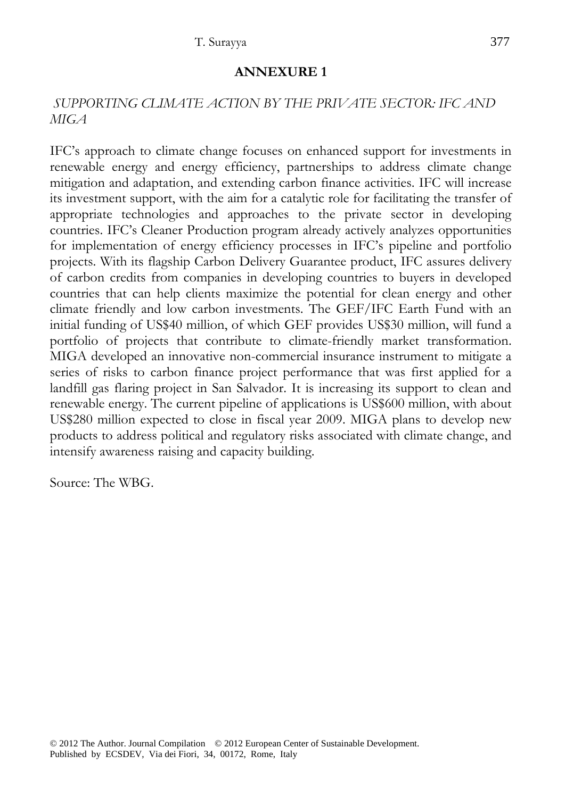#### **ANNEXURE 1**

#### *SUPPORTING CLIMATE ACTION BY THE PRIVATE SECTOR: IFC AND MIGA*

IFC's approach to climate change focuses on enhanced support for investments in renewable energy and energy efficiency, partnerships to address climate change mitigation and adaptation, and extending carbon finance activities. IFC will increase its investment support, with the aim for a catalytic role for facilitating the transfer of appropriate technologies and approaches to the private sector in developing countries. IFC's Cleaner Production program already actively analyzes opportunities for implementation of energy efficiency processes in IFC's pipeline and portfolio projects. With its flagship Carbon Delivery Guarantee product, IFC assures delivery of carbon credits from companies in developing countries to buyers in developed countries that can help clients maximize the potential for clean energy and other climate friendly and low carbon investments. The GEF/IFC Earth Fund with an initial funding of US\$40 million, of which GEF provides US\$30 million, will fund a portfolio of projects that contribute to climate-friendly market transformation. MIGA developed an innovative non-commercial insurance instrument to mitigate a series of risks to carbon finance project performance that was first applied for a landfill gas flaring project in San Salvador. It is increasing its support to clean and renewable energy. The current pipeline of applications is US\$600 million, with about US\$280 million expected to close in fiscal year 2009. MIGA plans to develop new products to address political and regulatory risks associated with climate change, and intensify awareness raising and capacity building.

Source: The WBG.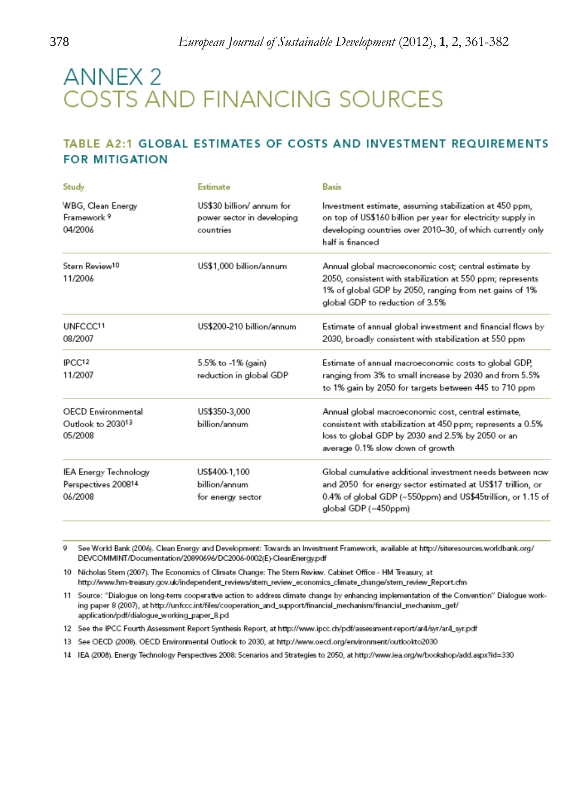# **ANNEX 2 COSTS AND FINANCING SOURCES**

#### TABLE A2:1 GLOBAL ESTIMATES OF COSTS AND INVESTMENT REQUIREMENTS **FOR MITIGATION**

| Study                                                     | Estimate                                                                                                                                                                                                                                      | Basis                                                                                                                                                                                                            |
|-----------------------------------------------------------|-----------------------------------------------------------------------------------------------------------------------------------------------------------------------------------------------------------------------------------------------|------------------------------------------------------------------------------------------------------------------------------------------------------------------------------------------------------------------|
| WBG, Clean Energy<br>Framework 9<br>04/2006               | US\$30 billion/ annum for<br>power sector in developing<br>countries                                                                                                                                                                          | Investment estimate, assuming stabilization at 450 ppm,<br>on top of US\$160 billion per year for electricity supply in<br>developing countries over 2010-30, of which currently only<br>half is financed        |
| Stern Review <sup>10</sup><br>11/2006                     | US\$1,000 billion/annum                                                                                                                                                                                                                       | Annual global macroeconomic cost; central estimate by<br>2050, consistent with stabilization at 550 ppm; represents<br>1% of global GDP by 2050, ranging from net gains of 1%<br>global GDP to reduction of 3.5% |
| UNFCCC11<br>08/2007                                       | US\$200-210 billion/annum                                                                                                                                                                                                                     | Estimate of annual global investment and financial flows by<br>2030, broadly consistent with stabilization at 550 ppm                                                                                            |
| IPCC <sub>12</sub><br>11/2007                             | 5.5% to -1% (gain)<br>reduction in global GDP                                                                                                                                                                                                 | Estimate of annual macroeconomic costs to global GDP,<br>ranging from 3% to small increase by 2030 and from 5.5%<br>to 1% gain by 2050 for targets between 445 to 710 ppm                                        |
| <b>OECD</b> Environmental<br>Outlook to 203013<br>05/2008 | US\$350-3,000<br>Annual global macroeconomic cost, central estimate,<br>billion/annum<br>consistent with stabilization at 450 ppm; represents a 0.5%<br>loss to global GDP by 2030 and 2.5% by 2050 or an<br>average 0.1% slow down of growth |                                                                                                                                                                                                                  |
| IEA Energy Technology<br>Perspectives 200814<br>06/2008   | US\$400-1,100<br>billion/annum<br>for energy sector                                                                                                                                                                                           | Global cumulative additional investment needs between now<br>and 2050 for energy sector estimated at US\$17 trillion, or<br>0.4% of global GDP (~550ppm) and US\$45trillion, or 1.15 of<br>global GDP (~450ppm)  |

See World Bank (2006). Clean Energy and Development: Towards an Investment Framework, available at http://siteresources.worldbank.org/ o DEVCOMMINT/Documentation/20890696/DC2006-0002(E)-CleanEnergy.pdf

10 Nicholas Stern (2007). The Economics of Climate Change: The Stern Review. Cabinet Office - HM Treasury, at http://www.hm-treasury.gov.uk/independent\_reviews/stern\_review\_economics\_climate\_change/stern\_review\_Report.cfm

11 Source: "Dialogue on long-term cooperative action to address climate change by enhancing implementation of the Convention" Dialogue working paper 8 (2007), at http://unfccc.int/files/cooperation\_and\_support/financial\_mechanism/financial\_mechanism\_gef/ application/pdf/dialogue\_working\_paper\_8.pd

12 See the IPCC Fourth Assessment Report Synthesis Report, at http://www.ipcc.ch/pdf/assessment-report/ar4/syr/ar4\_syr.pdf

13 See OECD (2008). OECD Environmental Outlook to 2030, at http://www.oecd.org/environment/outlookto2030

14 IEA (2008). Energy Technology Perspectives 2008: Scenarios and Strategies to 2050, at http://www.iea.org/w/bookshop/add.aspx?id=330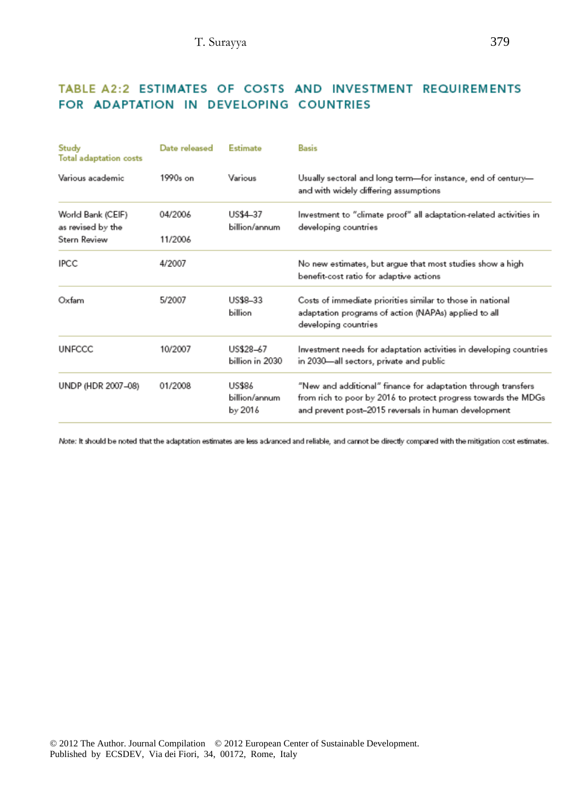### TABLE A2:2 ESTIMATES OF COSTS AND INVESTMENT REQUIREMENTS FOR ADAPTATION IN DEVELOPING COUNTRIES

| Study<br>Total adaptation costs                        | Date released      | Estimate                           | Basis                                                                                                                                                                                   |
|--------------------------------------------------------|--------------------|------------------------------------|-----------------------------------------------------------------------------------------------------------------------------------------------------------------------------------------|
| Various academic                                       | $1990s$ on         | Various                            | Usually sectoral and long term—for instance, end of century—<br>and with widely differing assumptions                                                                                   |
| World Bank (CEIF)<br>as revised by the<br>Stern Review | 04/2006<br>11/2006 | US\$4-37<br>billion/annum          | Investment to "climate proof" all adaptation-related activities in<br>developing countries                                                                                              |
| <b>IPCC</b>                                            | 4/2007             |                                    | No new estimates, but argue that most studies show a high<br>benefit-cost ratio for adaptive actions                                                                                    |
| Oxfam                                                  | 5/2007             | US\$8-33<br>billion                | Costs of immediate priorities similar to those in national<br>adaptation programs of action (NAPAs) applied to all<br>developing countries                                              |
| <b>UNFCCC</b>                                          | 10/2007            | US\$28-67<br>billion in 2030       | Investment needs for adaptation activities in developing countries<br>in 2030—all sectors, private and public                                                                           |
| UNDP (HDR 2007-08)                                     | 01/2008            | US\$86<br>billion/annum<br>by 2016 | "New and additional" finance for adaptation through transfers<br>from rich to poor by 2016 to protect progress towards the MDGs<br>and prevent post-2015 reversals in human development |

Note: It should be noted that the adaptation estimates are less advanced and reliable, and cannot be directly compared with the mitigation cost estimates.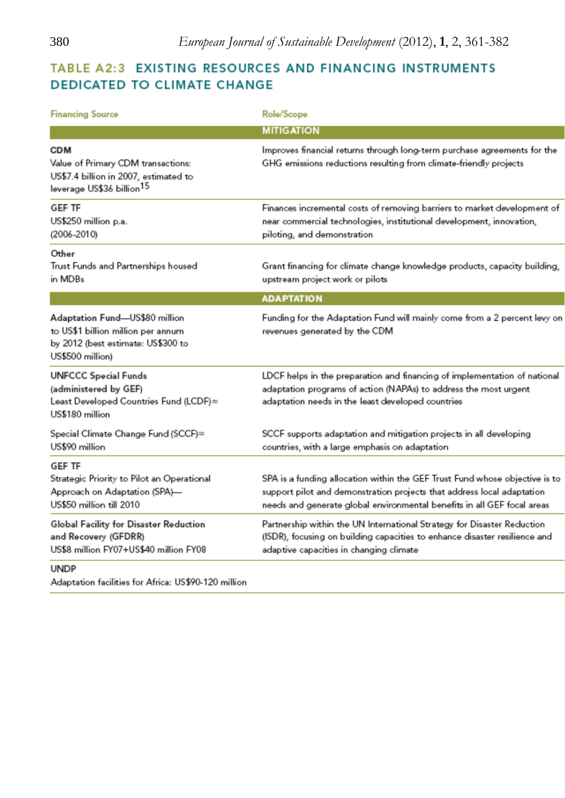## TABLE A2:3 EXISTING RESOURCES AND FINANCING INSTRUMENTS **DEDICATED TO CLIMATE CHANGE**

| <b>Financing Source</b>                                                                                                            | Role/Scope                                                                                                                                                                                                                       |
|------------------------------------------------------------------------------------------------------------------------------------|----------------------------------------------------------------------------------------------------------------------------------------------------------------------------------------------------------------------------------|
|                                                                                                                                    | <b>MITIGATION</b>                                                                                                                                                                                                                |
| <b>CDM</b><br>Value of Primary CDM transactions:<br>US\$7.4 billion in 2007, estimated to<br>leverage US\$36 billion <sup>15</sup> | Improves financial returns through long-term purchase agreements for the<br>GHG emissions reductions resulting from climate-friendly projects                                                                                    |
| <b>GEF TF</b><br>US\$250 million p.a.<br>(2006-2010)                                                                               | Finances incremental costs of removing barriers to market development of<br>near commercial technologies, institutional development, innovation,<br>piloting, and demonstration                                                  |
| Other<br>Trust Funds and Partnerships housed<br>in MDBs                                                                            | Grant financing for climate change knowledge products, capacity building,<br>upstream project work or pilots                                                                                                                     |
|                                                                                                                                    | <b>ADAPTATION</b>                                                                                                                                                                                                                |
| Adaptation Fund-US\$80 million<br>to US\$1 billion million per annum<br>by 2012 (best estimate: US\$300 to<br>US\$500 million)     | Funding for the Adaptation Fund will mainly come from a 2 percent levy on<br>revenues generated by the CDM                                                                                                                       |
| <b>UNFCCC Special Funds</b><br>(administered by GEF)<br>Least Developed Countries Fund (LCDF)≈<br>US\$180 million                  | LDCF helps in the preparation and financing of implementation of national<br>adaptation programs of action (NAPAs) to address the most urgent<br>adaptation needs in the least developed countries                               |
| Special Climate Change Fund (SCCF)≈<br>US\$90 million                                                                              | SCCF supports adaptation and mitigation projects in all developing<br>countries, with a large emphasis on adaptation                                                                                                             |
| GEF TF<br>Strategic Priority to Pilot an Operational<br>Approach on Adaptation (SPA)-<br>US\$50 million till 2010                  | SPA is a funding allocation within the GEF Trust Fund whose objective is to<br>support pilot and demonstration projects that address local adaptation<br>needs and generate global environmental benefits in all GEF focal areas |
| Global Facility for Disaster Reduction<br>and Recovery (GFDRR)<br>US\$8 million FY07+US\$40 million FY08                           | Partnership within the UN International Strategy for Disaster Reduction<br>(ISDR), focusing on building capacities to enhance disaster resilience and<br>adaptive capacities in changing climate                                 |
| <b>UNDP</b>                                                                                                                        |                                                                                                                                                                                                                                  |

Adaptation facilities for Africa: US\$90-120 million